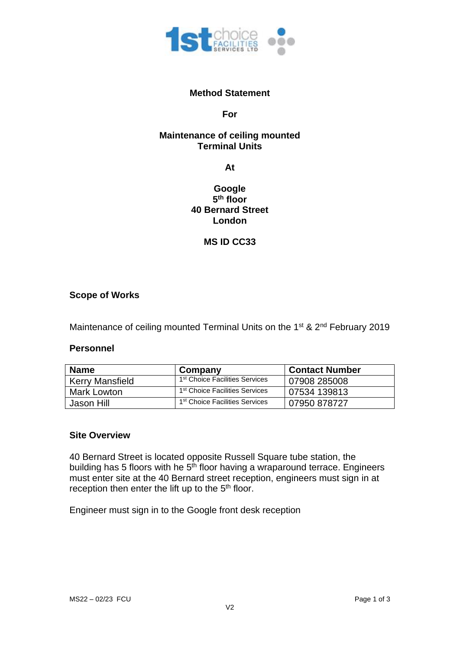

#### **Method Statement**

#### **For**

### **Maintenance of ceiling mounted Terminal Units**

**At**

# **Google 5 th floor 40 Bernard Street London**

## **MS ID CC33**

#### **Scope of Works**

Maintenance of ceiling mounted Terminal Units on the 1<sup>st</sup> & 2<sup>nd</sup> February 2019

#### **Personnel**

| <b>Name</b>            | Company                                    | <b>Contact Number</b> |
|------------------------|--------------------------------------------|-----------------------|
| <b>Kerry Mansfield</b> | 1 <sup>st</sup> Choice Facilities Services | 07908 285008          |
| Mark Lowton            | 1 <sup>st</sup> Choice Facilities Services | 07534 139813          |
| Jason Hill             | 1 <sup>st</sup> Choice Facilities Services | 07950 878727          |

#### **Site Overview**

40 Bernard Street is located opposite Russell Square tube station, the building has 5 floors with he 5<sup>th</sup> floor having a wraparound terrace. Engineers must enter site at the 40 Bernard street reception, engineers must sign in at reception then enter the lift up to the 5<sup>th</sup> floor.

Engineer must sign in to the Google front desk reception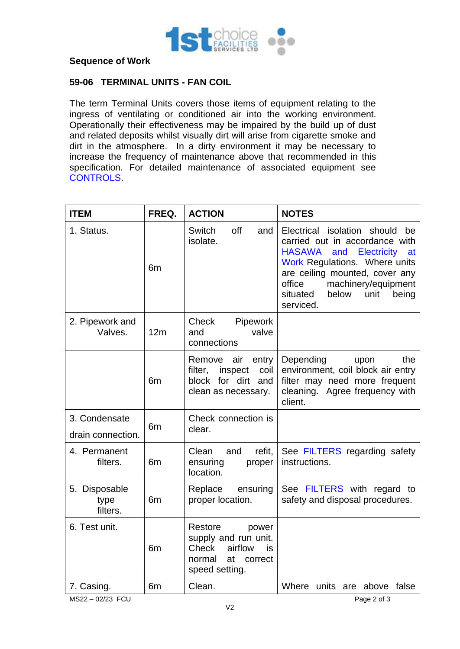

#### **Sequence of Work**

### **59-06 TERMINAL UNITS - FAN COIL**

The term Terminal Units covers those items of equipment relating to the ingress of ventilating or conditioned air into the working environment. Operationally their effectiveness may be impaired by the build up of dust and related deposits whilst visually dirt will arise from cigarette smoke and dirt in the atmosphere. In a dirty environment it may be necessary to increase the frequency of maintenance above that recommended in this specification. For detailed maintenance of associated equipment see CONTROLS.

| <b>ITEM</b>                        | FREQ.          | <b>ACTION</b>                                                                                                | <b>NOTES</b>                                                                                                                                                                                                                                                            |
|------------------------------------|----------------|--------------------------------------------------------------------------------------------------------------|-------------------------------------------------------------------------------------------------------------------------------------------------------------------------------------------------------------------------------------------------------------------------|
| 1. Status.                         | 6m             | off<br>Switch<br>and<br>isolate.                                                                             | Electrical isolation should<br>be<br>carried out in accordance with<br><b>HASAWA</b><br>Electricity<br>and<br>at<br>Work Regulations. Where units<br>are ceiling mounted, cover any<br>machinery/equipment<br>office<br>situated<br>below<br>unit<br>being<br>serviced. |
| 2. Pipework and<br>Valves.         | 12m            | Pipework<br>Check<br>valve<br>and<br>connections                                                             |                                                                                                                                                                                                                                                                         |
|                                    | 6 <sub>m</sub> | Remove<br>air<br>entry<br>filter,<br>inspect<br>coil<br>block for dirt<br>and<br>clean as necessary.         | the<br>Depending<br>upon<br>environment, coil block air entry<br>filter may need more frequent<br>cleaning. Agree frequency with<br>client.                                                                                                                             |
| 3. Condensate<br>drain connection. | 6 <sub>m</sub> | Check connection is<br>clear.                                                                                |                                                                                                                                                                                                                                                                         |
| 4. Permanent<br>filters.           | 6 <sub>m</sub> | Clean<br>refit,<br>and<br>ensuring<br>proper<br>location.                                                    | See FILTERS regarding safety<br>instructions.                                                                                                                                                                                                                           |
| 5. Disposable<br>type<br>filters.  | 6 <sub>m</sub> | Replace<br>ensuring<br>proper location.                                                                      | See FILTERS with regard to<br>safety and disposal procedures.                                                                                                                                                                                                           |
| 6. Test unit.                      | 6 <sub>m</sub> | Restore<br>power<br>supply and run unit.<br>airflow<br>Check<br>is<br>normal<br>at correct<br>speed setting. |                                                                                                                                                                                                                                                                         |
| 7. Casing.                         | 6m             | Clean.                                                                                                       | Where units are above<br>false                                                                                                                                                                                                                                          |
| MS22-02/23 FCU<br>Page 2 of 3      |                |                                                                                                              |                                                                                                                                                                                                                                                                         |